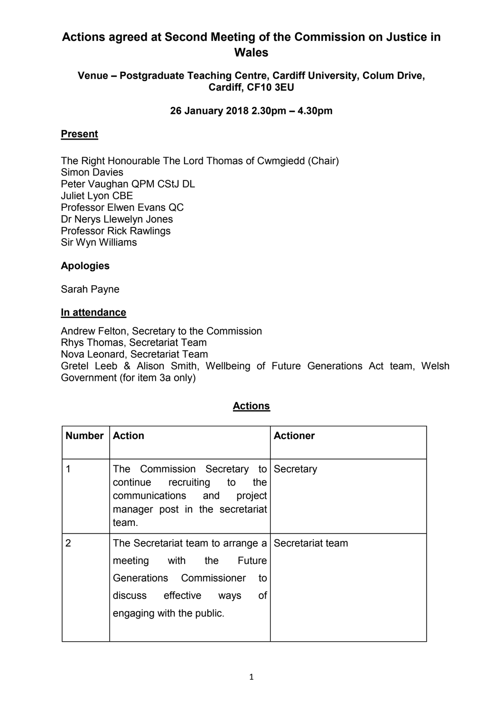# **Actions agreed at Second Meeting of the Commission on Justice in Wales**

### **Venue – Postgraduate Teaching Centre, Cardiff University, Colum Drive, Cardiff, CF10 3EU**

### **26 January 2018 2.30pm – 4.30pm**

#### **Present**

The Right Honourable The Lord Thomas of Cwmgiedd (Chair) Simon Davies Peter Vaughan QPM CStJ DL Juliet Lyon CBE Professor Elwen Evans QC Dr Nerys Llewelyn Jones Professor Rick Rawlings Sir Wyn Williams

## **Apologies**

Sarah Payne

#### **In attendance**

Andrew Felton, Secretary to the Commission Rhys Thomas, Secretariat Team Nova Leonard, Secretariat Team Gretel Leeb & Alison Smith, Wellbeing of Future Generations Act team, Welsh Government (for item 3a only)

| <b>Number</b> | <b>Action</b>                                                                                                                                                                   | <b>Actioner</b> |
|---------------|---------------------------------------------------------------------------------------------------------------------------------------------------------------------------------|-----------------|
|               | The Commission Secretary to Secretary<br>continue recruiting to<br>the<br>communications and<br>project<br>manager post in the secretariat<br>team.                             |                 |
| 2             | The Secretariat team to arrange a Secretariat team<br>meeting with the Future<br>Generations Commissioner<br>to<br>0f<br>discuss effective<br>ways<br>engaging with the public. |                 |

## **Actions**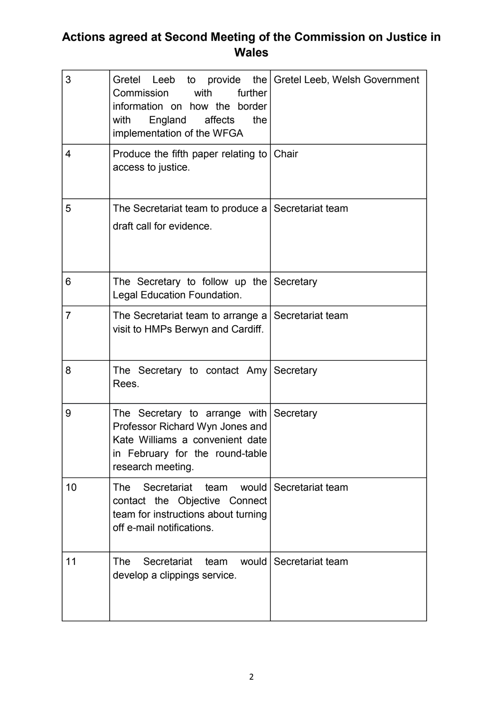# **Actions agreed at Second Meeting of the Commission on Justice in Wales**

| 3              | Gretel Leeb to provide the Gretel Leeb, Welsh Government<br>Commission<br>further<br>with<br>information on how the border<br>England<br>affects<br>the<br>with<br>implementation of the WFGA |                        |
|----------------|-----------------------------------------------------------------------------------------------------------------------------------------------------------------------------------------------|------------------------|
| 4              | Produce the fifth paper relating to   Chair<br>access to justice.                                                                                                                             |                        |
| 5              | The Secretariat team to produce a Secretariat team<br>draft call for evidence.                                                                                                                |                        |
| 6              | The Secretary to follow up the Secretary<br>Legal Education Foundation.                                                                                                                       |                        |
| $\overline{7}$ | The Secretariat team to arrange a Secretariat team<br>visit to HMPs Berwyn and Cardiff.                                                                                                       |                        |
| 8              | The Secretary to contact Amy Secretary<br>Rees.                                                                                                                                               |                        |
| 9              | The Secretary to arrange with Secretary<br>Professor Richard Wyn Jones and<br>Kate Williams a convenient date<br>in February for the round-table<br>research meeting.                         |                        |
| 10             | Secretariat<br><b>The</b><br>team<br>contact the Objective Connect<br>team for instructions about turning<br>off e-mail notifications.                                                        | would Secretariat team |
| 11             | Secretariat<br><b>The</b><br>team<br>develop a clippings service.                                                                                                                             | would Secretariat team |